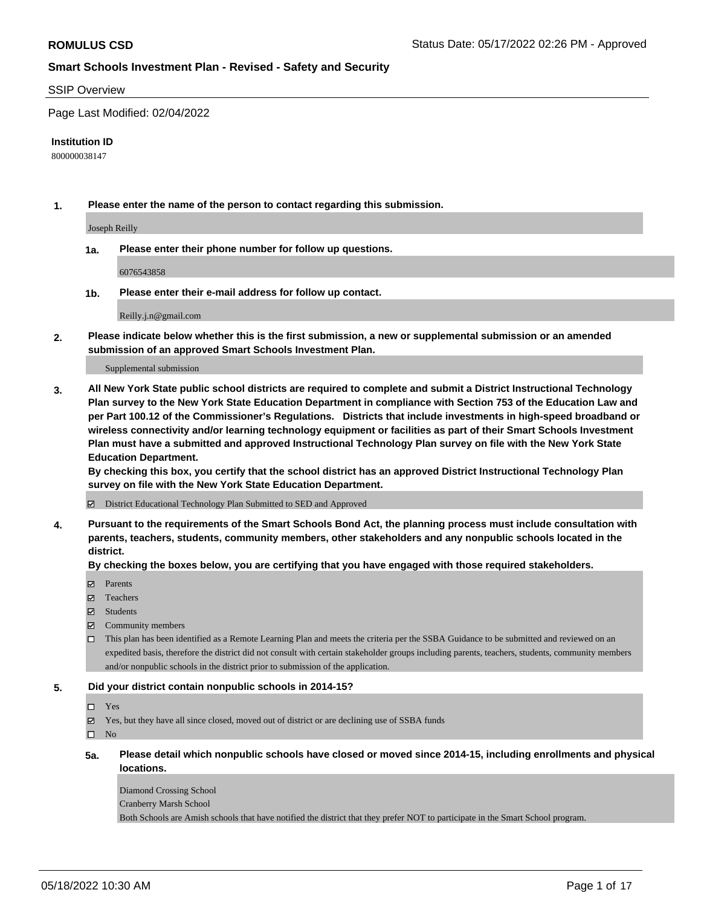#### SSIP Overview

Page Last Modified: 02/04/2022

#### **Institution ID**

800000038147

**1. Please enter the name of the person to contact regarding this submission.**

Joseph Reilly

**1a. Please enter their phone number for follow up questions.**

6076543858

**1b. Please enter their e-mail address for follow up contact.**

Reilly.j.n@gmail.com

**2. Please indicate below whether this is the first submission, a new or supplemental submission or an amended submission of an approved Smart Schools Investment Plan.**

Supplemental submission

**3. All New York State public school districts are required to complete and submit a District Instructional Technology Plan survey to the New York State Education Department in compliance with Section 753 of the Education Law and per Part 100.12 of the Commissioner's Regulations. Districts that include investments in high-speed broadband or wireless connectivity and/or learning technology equipment or facilities as part of their Smart Schools Investment Plan must have a submitted and approved Instructional Technology Plan survey on file with the New York State Education Department.** 

**By checking this box, you certify that the school district has an approved District Instructional Technology Plan survey on file with the New York State Education Department.**

District Educational Technology Plan Submitted to SED and Approved

**4. Pursuant to the requirements of the Smart Schools Bond Act, the planning process must include consultation with parents, teachers, students, community members, other stakeholders and any nonpublic schools located in the district.** 

**By checking the boxes below, you are certifying that you have engaged with those required stakeholders.**

- $\blacksquare$  Parents
- Teachers
- Students
- $\Xi$  Community members
- This plan has been identified as a Remote Learning Plan and meets the criteria per the SSBA Guidance to be submitted and reviewed on an expedited basis, therefore the district did not consult with certain stakeholder groups including parents, teachers, students, community members and/or nonpublic schools in the district prior to submission of the application.

#### **5. Did your district contain nonpublic schools in 2014-15?**

#### Yes

 $\boxtimes$  Yes, but they have all since closed, moved out of district or are declining use of SSBA funds

 $\square$  No

**5a. Please detail which nonpublic schools have closed or moved since 2014-15, including enrollments and physical locations.**

Diamond Crossing School Cranberry Marsh School Both Schools are Amish schools that have notified the district that they prefer NOT to participate in the Smart School program.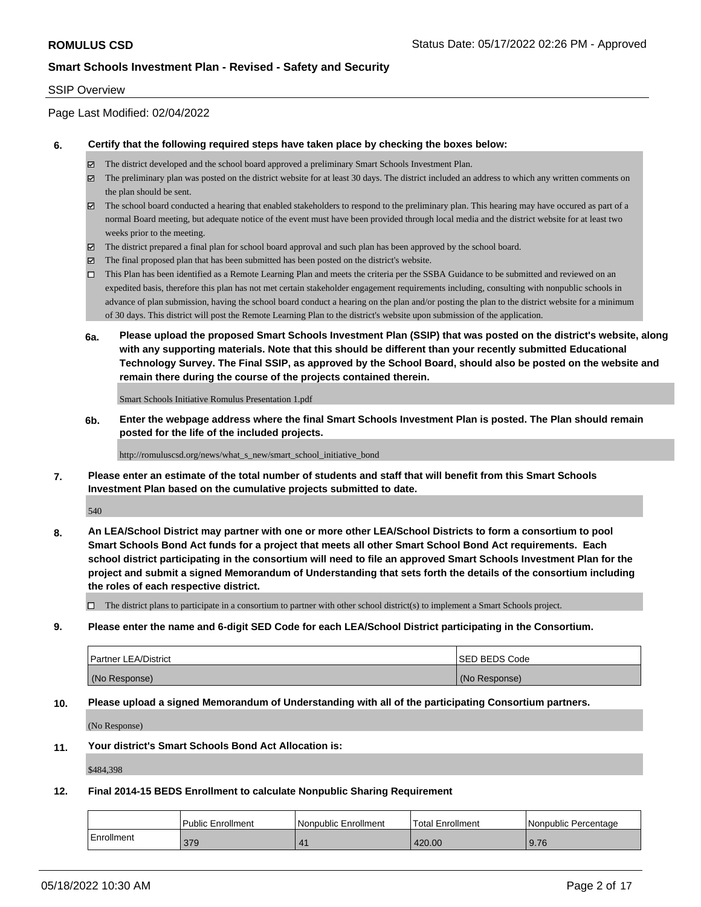#### SSIP Overview

Page Last Modified: 02/04/2022

#### **6. Certify that the following required steps have taken place by checking the boxes below:**

- The district developed and the school board approved a preliminary Smart Schools Investment Plan.
- $\boxtimes$  The preliminary plan was posted on the district website for at least 30 days. The district included an address to which any written comments on the plan should be sent.
- $\boxtimes$  The school board conducted a hearing that enabled stakeholders to respond to the preliminary plan. This hearing may have occured as part of a normal Board meeting, but adequate notice of the event must have been provided through local media and the district website for at least two weeks prior to the meeting.
- The district prepared a final plan for school board approval and such plan has been approved by the school board.
- $\boxtimes$  The final proposed plan that has been submitted has been posted on the district's website.
- This Plan has been identified as a Remote Learning Plan and meets the criteria per the SSBA Guidance to be submitted and reviewed on an expedited basis, therefore this plan has not met certain stakeholder engagement requirements including, consulting with nonpublic schools in advance of plan submission, having the school board conduct a hearing on the plan and/or posting the plan to the district website for a minimum of 30 days. This district will post the Remote Learning Plan to the district's website upon submission of the application.
- **6a. Please upload the proposed Smart Schools Investment Plan (SSIP) that was posted on the district's website, along with any supporting materials. Note that this should be different than your recently submitted Educational Technology Survey. The Final SSIP, as approved by the School Board, should also be posted on the website and remain there during the course of the projects contained therein.**

Smart Schools Initiative Romulus Presentation 1.pdf

**6b. Enter the webpage address where the final Smart Schools Investment Plan is posted. The Plan should remain posted for the life of the included projects.**

http://romuluscsd.org/news/what\_s\_new/smart\_school\_initiative\_bond

**7. Please enter an estimate of the total number of students and staff that will benefit from this Smart Schools Investment Plan based on the cumulative projects submitted to date.**

540

**8. An LEA/School District may partner with one or more other LEA/School Districts to form a consortium to pool Smart Schools Bond Act funds for a project that meets all other Smart School Bond Act requirements. Each school district participating in the consortium will need to file an approved Smart Schools Investment Plan for the project and submit a signed Memorandum of Understanding that sets forth the details of the consortium including the roles of each respective district.**

 $\Box$  The district plans to participate in a consortium to partner with other school district(s) to implement a Smart Schools project.

**9. Please enter the name and 6-digit SED Code for each LEA/School District participating in the Consortium.**

| <b>Partner LEA/District</b> | <b>ISED BEDS Code</b> |
|-----------------------------|-----------------------|
| (No Response)               | (No Response)         |

#### **10. Please upload a signed Memorandum of Understanding with all of the participating Consortium partners.**

(No Response)

#### **11. Your district's Smart Schools Bond Act Allocation is:**

\$484,398

#### **12. Final 2014-15 BEDS Enrollment to calculate Nonpublic Sharing Requirement**

|            | Public Enrollment | Nonpublic Enrollment | <b>Total Enrollment</b> | Nonpublic Percentage |
|------------|-------------------|----------------------|-------------------------|----------------------|
| Enrollment | 379               |                      | 420.00                  | 9.76                 |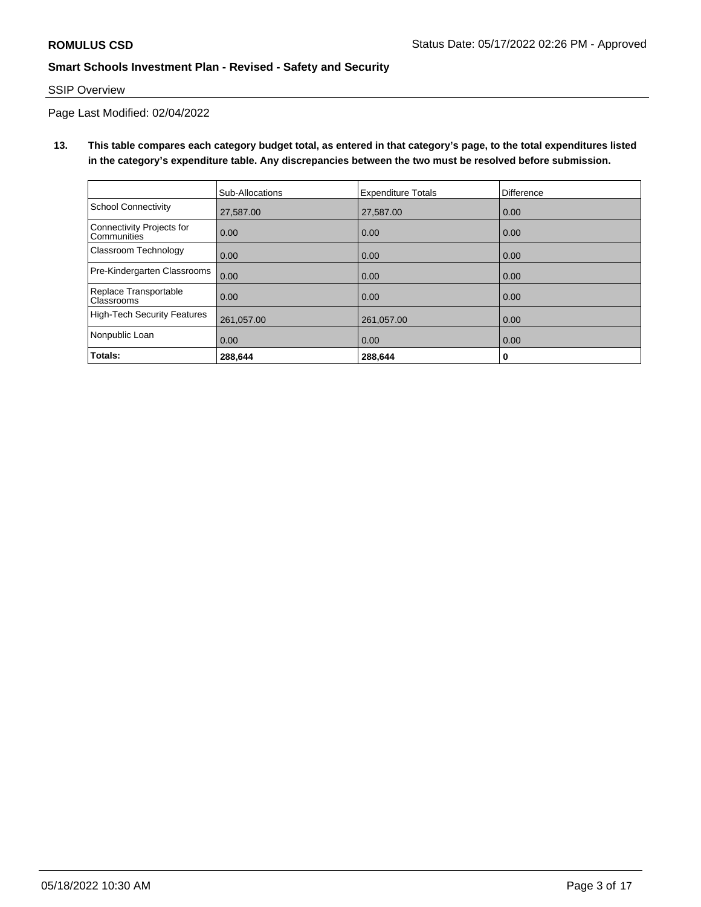### SSIP Overview

Page Last Modified: 02/04/2022

**13. This table compares each category budget total, as entered in that category's page, to the total expenditures listed in the category's expenditure table. Any discrepancies between the two must be resolved before submission.**

|                                            | Sub-Allocations | <b>Expenditure Totals</b> | Difference |
|--------------------------------------------|-----------------|---------------------------|------------|
| <b>School Connectivity</b>                 | 27.587.00       | 27,587.00                 | 0.00       |
| Connectivity Projects for<br>Communities   | 0.00            | 0.00                      | 0.00       |
| Classroom Technology                       | 0.00            | 0.00                      | 0.00       |
| Pre-Kindergarten Classrooms                | 0.00            | 0.00                      | 0.00       |
| Replace Transportable<br><b>Classrooms</b> | 0.00            | 0.00                      | 0.00       |
| <b>High-Tech Security Features</b>         | 261,057.00      | 261,057.00                | 0.00       |
| Nonpublic Loan                             | 0.00            | 0.00                      | 0.00       |
| Totals:                                    | 288.644         | 288.644                   | 0          |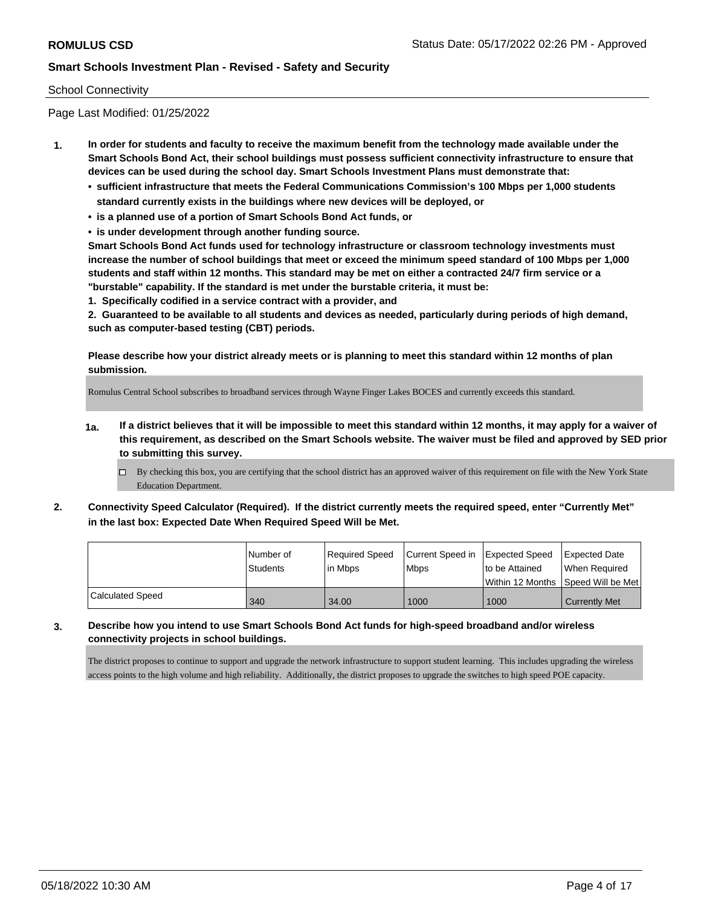#### School Connectivity

Page Last Modified: 01/25/2022

- **1. In order for students and faculty to receive the maximum benefit from the technology made available under the Smart Schools Bond Act, their school buildings must possess sufficient connectivity infrastructure to ensure that devices can be used during the school day. Smart Schools Investment Plans must demonstrate that:**
	- **• sufficient infrastructure that meets the Federal Communications Commission's 100 Mbps per 1,000 students standard currently exists in the buildings where new devices will be deployed, or**
	- **• is a planned use of a portion of Smart Schools Bond Act funds, or**
	- **• is under development through another funding source.**

**Smart Schools Bond Act funds used for technology infrastructure or classroom technology investments must increase the number of school buildings that meet or exceed the minimum speed standard of 100 Mbps per 1,000 students and staff within 12 months. This standard may be met on either a contracted 24/7 firm service or a "burstable" capability. If the standard is met under the burstable criteria, it must be:**

**1. Specifically codified in a service contract with a provider, and**

**2. Guaranteed to be available to all students and devices as needed, particularly during periods of high demand, such as computer-based testing (CBT) periods.**

**Please describe how your district already meets or is planning to meet this standard within 12 months of plan submission.**

Romulus Central School subscribes to broadband services through Wayne Finger Lakes BOCES and currently exceeds this standard.

- **1a. If a district believes that it will be impossible to meet this standard within 12 months, it may apply for a waiver of this requirement, as described on the Smart Schools website. The waiver must be filed and approved by SED prior to submitting this survey.**
	- By checking this box, you are certifying that the school district has an approved waiver of this requirement on file with the New York State Education Department.
- **2. Connectivity Speed Calculator (Required). If the district currently meets the required speed, enter "Currently Met" in the last box: Expected Date When Required Speed Will be Met.**

|                  | INumber of      | Required Speed | Current Speed in Expected Speed | to be Attained                      | <b>Expected Date</b> |
|------------------|-----------------|----------------|---------------------------------|-------------------------------------|----------------------|
|                  | <b>Students</b> | in Mbps        | Mbps                            | Within 12 Months 1Speed Will be Met | When Required        |
| Calculated Speed | 340             | 34.00          | 1000                            | 1000                                | <b>Currently Met</b> |

**3. Describe how you intend to use Smart Schools Bond Act funds for high-speed broadband and/or wireless connectivity projects in school buildings.**

The district proposes to continue to support and upgrade the network infrastructure to support student learning. This includes upgrading the wireless access points to the high volume and high reliability. Additionally, the district proposes to upgrade the switches to high speed POE capacity.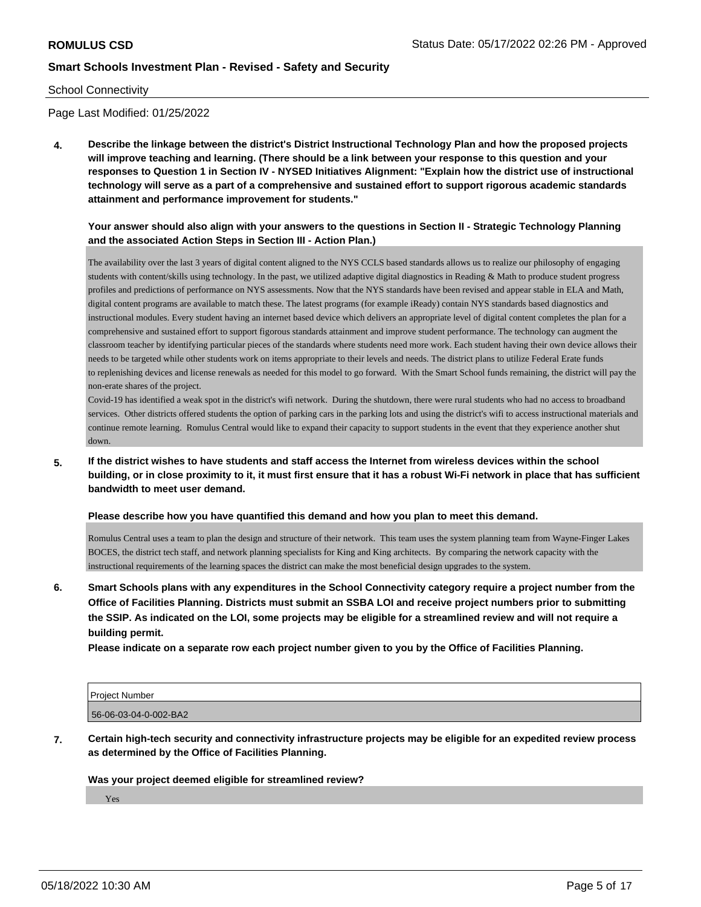#### School Connectivity

Page Last Modified: 01/25/2022

**4. Describe the linkage between the district's District Instructional Technology Plan and how the proposed projects will improve teaching and learning. (There should be a link between your response to this question and your responses to Question 1 in Section IV - NYSED Initiatives Alignment: "Explain how the district use of instructional technology will serve as a part of a comprehensive and sustained effort to support rigorous academic standards attainment and performance improvement for students."** 

### **Your answer should also align with your answers to the questions in Section II - Strategic Technology Planning and the associated Action Steps in Section III - Action Plan.)**

The availability over the last 3 years of digital content aligned to the NYS CCLS based standards allows us to realize our philosophy of engaging students with content/skills using technology. In the past, we utilized adaptive digital diagnostics in Reading & Math to produce student progress profiles and predictions of performance on NYS assessments. Now that the NYS standards have been revised and appear stable in ELA and Math, digital content programs are available to match these. The latest programs (for example iReady) contain NYS standards based diagnostics and instructional modules. Every student having an internet based device which delivers an appropriate level of digital content completes the plan for a comprehensive and sustained effort to support figorous standards attainment and improve student performance. The technology can augment the classroom teacher by identifying particular pieces of the standards where students need more work. Each student having their own device allows their needs to be targeted while other students work on items appropriate to their levels and needs. The district plans to utilize Federal Erate funds to replenishing devices and license renewals as needed for this model to go forward. With the Smart School funds remaining, the district will pay the non-erate shares of the project.

Covid-19 has identified a weak spot in the district's wifi network. During the shutdown, there were rural students who had no access to broadband services. Other districts offered students the option of parking cars in the parking lots and using the district's wifi to access instructional materials and continue remote learning. Romulus Central would like to expand their capacity to support students in the event that they experience another shut down.

**5. If the district wishes to have students and staff access the Internet from wireless devices within the school building, or in close proximity to it, it must first ensure that it has a robust Wi-Fi network in place that has sufficient bandwidth to meet user demand.**

#### **Please describe how you have quantified this demand and how you plan to meet this demand.**

Romulus Central uses a team to plan the design and structure of their network. This team uses the system planning team from Wayne-Finger Lakes BOCES, the district tech staff, and network planning specialists for King and King architects. By comparing the network capacity with the instructional requirements of the learning spaces the district can make the most beneficial design upgrades to the system.

**6. Smart Schools plans with any expenditures in the School Connectivity category require a project number from the Office of Facilities Planning. Districts must submit an SSBA LOI and receive project numbers prior to submitting the SSIP. As indicated on the LOI, some projects may be eligible for a streamlined review and will not require a building permit.**

**Please indicate on a separate row each project number given to you by the Office of Facilities Planning.**

| <b>Project Number</b> |  |
|-----------------------|--|
| 56-06-03-04-0-002-BA2 |  |

**7. Certain high-tech security and connectivity infrastructure projects may be eligible for an expedited review process as determined by the Office of Facilities Planning.**

#### **Was your project deemed eligible for streamlined review?**

Yes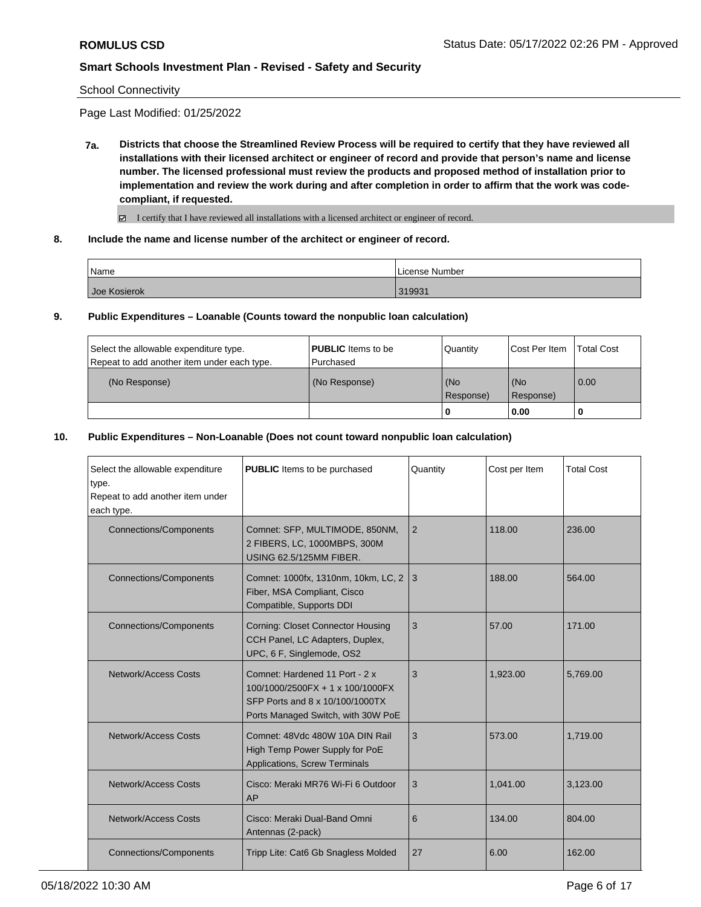School Connectivity

Page Last Modified: 01/25/2022

**7a. Districts that choose the Streamlined Review Process will be required to certify that they have reviewed all installations with their licensed architect or engineer of record and provide that person's name and license number. The licensed professional must review the products and proposed method of installation prior to implementation and review the work during and after completion in order to affirm that the work was codecompliant, if requested.**

I certify that I have reviewed all installations with a licensed architect or engineer of record.

**8. Include the name and license number of the architect or engineer of record.**

| Name         | License Number |
|--------------|----------------|
| Joe Kosierok | 319931         |

**9. Public Expenditures – Loanable (Counts toward the nonpublic loan calculation)**

| Select the allowable expenditure type.<br>Repeat to add another item under each type. | <b>PUBLIC</b> Items to be<br>Purchased | Quantity           | <b>Cost Per Item</b> | <b>Total Cost</b> |
|---------------------------------------------------------------------------------------|----------------------------------------|--------------------|----------------------|-------------------|
| (No Response)                                                                         | (No Response)                          | l (No<br>Response) | (No<br>Response)     | 0.00              |
|                                                                                       |                                        | 1 O                | 0.00                 |                   |

### **10. Public Expenditures – Non-Loanable (Does not count toward nonpublic loan calculation)**

| Select the allowable expenditure<br>type.<br>Repeat to add another item under<br>each type. | <b>PUBLIC</b> Items to be purchased                                                                                                         | Quantity       | Cost per Item | <b>Total Cost</b> |
|---------------------------------------------------------------------------------------------|---------------------------------------------------------------------------------------------------------------------------------------------|----------------|---------------|-------------------|
| <b>Connections/Components</b>                                                               | Comnet: SFP, MULTIMODE, 850NM,<br>2 FIBERS, LC, 1000MBPS, 300M<br><b>USING 62.5/125MM FIBER.</b>                                            | $\overline{2}$ | 118.00        | 236.00            |
| <b>Connections/Components</b>                                                               | Comnet: 1000fx, 1310nm, 10km, LC, 2 3<br>Fiber, MSA Compliant, Cisco<br>Compatible, Supports DDI                                            |                | 188.00        | 564.00            |
| <b>Connections/Components</b>                                                               | <b>Corning: Closet Connector Housing</b><br>CCH Panel, LC Adapters, Duplex,<br>UPC, 6 F, Singlemode, OS2                                    | 3              | 57.00         | 171.00            |
| Network/Access Costs                                                                        | Comnet: Hardened 11 Port - 2 x<br>100/1000/2500FX + 1 x 100/1000FX<br>SFP Ports and 8 x 10/100/1000TX<br>Ports Managed Switch, with 30W PoE | 3              | 1.923.00      | 5,769.00          |
| <b>Network/Access Costs</b>                                                                 | Comnet: 48Vdc 480W 10A DIN Rail<br>High Temp Power Supply for PoE<br>Applications, Screw Terminals                                          | 3              | 573.00        | 1,719.00          |
| Network/Access Costs                                                                        | Cisco: Meraki MR76 Wi-Fi 6 Outdoor<br>AP                                                                                                    | 3              | 1.041.00      | 3,123.00          |
| Network/Access Costs                                                                        | Cisco: Meraki Dual-Band Omni<br>Antennas (2-pack)                                                                                           | 6              | 134.00        | 804.00            |
| <b>Connections/Components</b>                                                               | Tripp Lite: Cat6 Gb Snagless Molded                                                                                                         | 27             | 6.00          | 162.00            |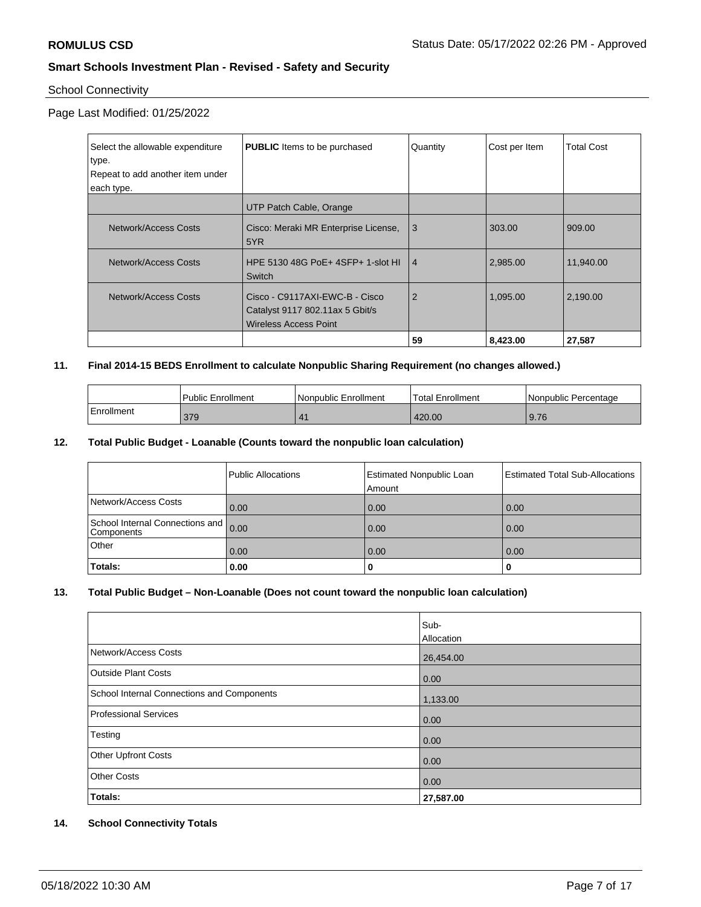### School Connectivity

### Page Last Modified: 01/25/2022

| Select the allowable expenditure<br>type. | <b>PUBLIC</b> Items to be purchased                                                               | Quantity       | Cost per Item | <b>Total Cost</b> |
|-------------------------------------------|---------------------------------------------------------------------------------------------------|----------------|---------------|-------------------|
| Repeat to add another item under          |                                                                                                   |                |               |                   |
| each type.                                |                                                                                                   |                |               |                   |
|                                           | UTP Patch Cable, Orange                                                                           |                |               |                   |
| Network/Access Costs                      | Cisco: Meraki MR Enterprise License,<br>5YR                                                       | 3              | 303.00        | 909.00            |
| Network/Access Costs                      | HPE 5130 48G PoE+ 4SFP+ 1-slot HL<br>Switch                                                       | $\overline{4}$ | 2,985.00      | 11.940.00         |
| Network/Access Costs                      | Cisco - C9117AXI-EWC-B - Cisco<br>Catalyst 9117 802.11ax 5 Gbit/s<br><b>Wireless Access Point</b> | $\overline{2}$ | 1,095.00      | 2,190.00          |
|                                           |                                                                                                   | 59             | 8,423.00      | 27,587            |

### **11. Final 2014-15 BEDS Enrollment to calculate Nonpublic Sharing Requirement (no changes allowed.)**

|            | <b>Public Enrollment</b> | l Nonpublic Enrollment | <b>Total Enrollment</b> | l Nonpublic Percentage |
|------------|--------------------------|------------------------|-------------------------|------------------------|
| Enrollment | 379                      |                        | 420.00                  | 9.76                   |

### **12. Total Public Budget - Loanable (Counts toward the nonpublic loan calculation)**

|                                               | Public Allocations | <b>Estimated Nonpublic Loan</b><br>Amount | Estimated Total Sub-Allocations |
|-----------------------------------------------|--------------------|-------------------------------------------|---------------------------------|
| Network/Access Costs                          | 0.00               | 0.00                                      | 0.00                            |
| School Internal Connections and<br>Components | 0.00               | 0.00                                      | 0.00                            |
| Other                                         | 0.00               | 0.00                                      | 0.00                            |
| Totals:                                       | 0.00               | 0                                         |                                 |

### **13. Total Public Budget – Non-Loanable (Does not count toward the nonpublic loan calculation)**

|                                                   | Sub-       |
|---------------------------------------------------|------------|
|                                                   | Allocation |
| Network/Access Costs                              | 26,454.00  |
| <b>Outside Plant Costs</b>                        | 0.00       |
| <b>School Internal Connections and Components</b> | 1,133.00   |
| <b>Professional Services</b>                      | 0.00       |
| Testing                                           | 0.00       |
| <b>Other Upfront Costs</b>                        | 0.00       |
| <b>Other Costs</b>                                | 0.00       |
| Totals:                                           | 27,587.00  |

#### **14. School Connectivity Totals**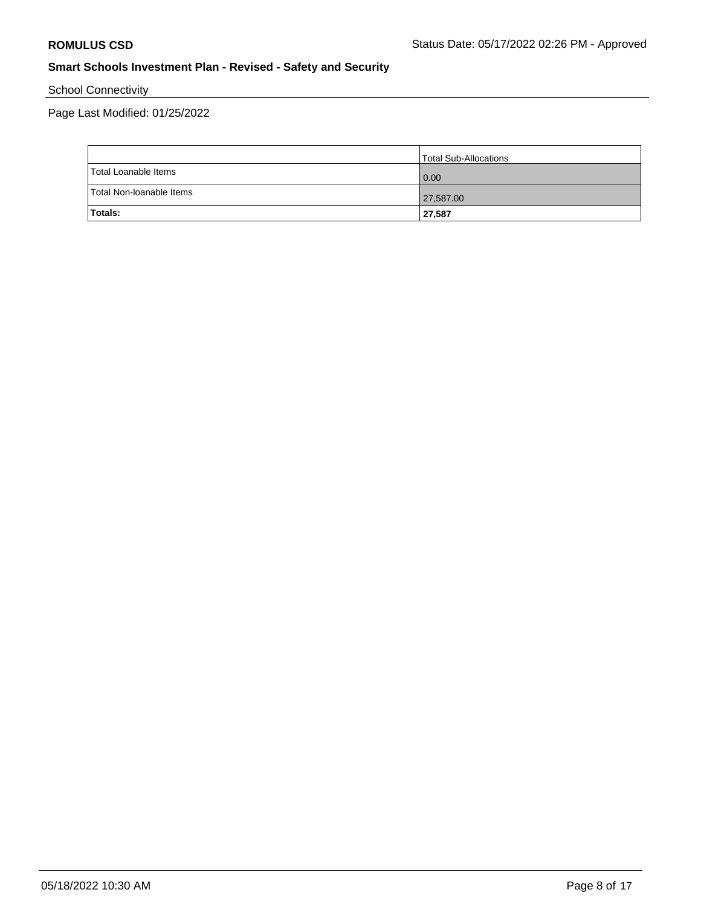School Connectivity

Page Last Modified: 01/25/2022

|                          | Total Sub-Allocations |
|--------------------------|-----------------------|
| Total Loanable Items     | 0.00                  |
| Total Non-Ioanable Items | 27,587.00             |
| Totals:                  | 27,587                |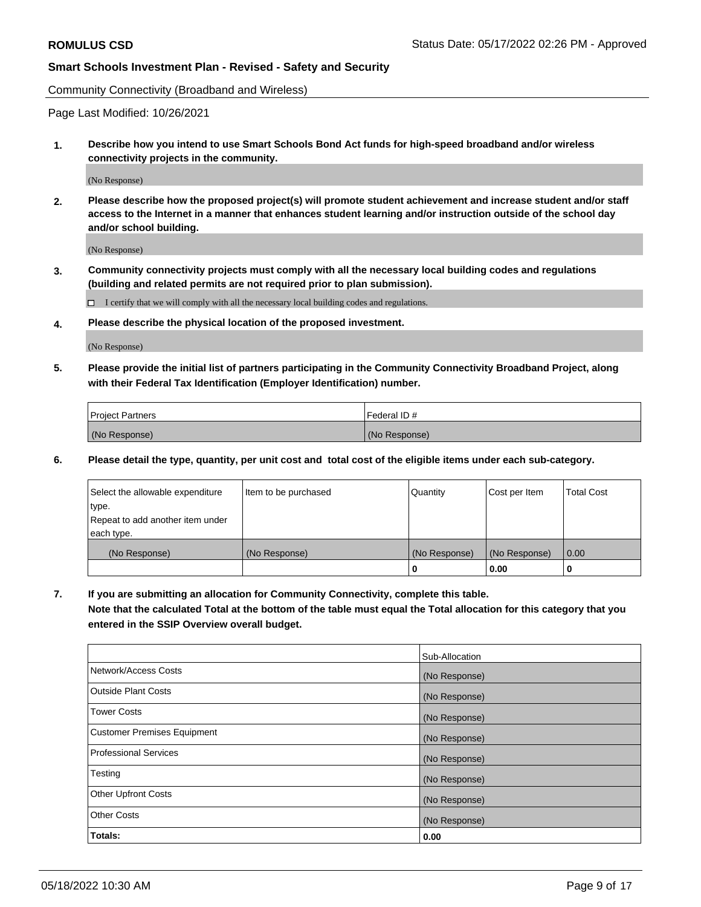Community Connectivity (Broadband and Wireless)

Page Last Modified: 10/26/2021

**1. Describe how you intend to use Smart Schools Bond Act funds for high-speed broadband and/or wireless connectivity projects in the community.**

(No Response)

**2. Please describe how the proposed project(s) will promote student achievement and increase student and/or staff access to the Internet in a manner that enhances student learning and/or instruction outside of the school day and/or school building.**

(No Response)

**3. Community connectivity projects must comply with all the necessary local building codes and regulations (building and related permits are not required prior to plan submission).**

 $\Box$  I certify that we will comply with all the necessary local building codes and regulations.

**4. Please describe the physical location of the proposed investment.**

(No Response)

**5. Please provide the initial list of partners participating in the Community Connectivity Broadband Project, along with their Federal Tax Identification (Employer Identification) number.**

| <b>Project Partners</b> | Federal ID#   |
|-------------------------|---------------|
| (No Response)           | (No Response) |

**6. Please detail the type, quantity, per unit cost and total cost of the eligible items under each sub-category.**

| Select the allowable expenditure          | Item to be purchased | Quantity      | Cost per Item | <b>Total Cost</b> |
|-------------------------------------------|----------------------|---------------|---------------|-------------------|
| type.<br>Repeat to add another item under |                      |               |               |                   |
| each type.                                |                      |               |               |                   |
| (No Response)                             | (No Response)        | (No Response) | (No Response) | 0.00              |
|                                           |                      | 0             | 0.00          |                   |

**7. If you are submitting an allocation for Community Connectivity, complete this table.**

**Note that the calculated Total at the bottom of the table must equal the Total allocation for this category that you entered in the SSIP Overview overall budget.**

|                              | Sub-Allocation |
|------------------------------|----------------|
| Network/Access Costs         | (No Response)  |
| <b>Outside Plant Costs</b>   | (No Response)  |
| Tower Costs                  | (No Response)  |
| Customer Premises Equipment  | (No Response)  |
| <b>Professional Services</b> | (No Response)  |
| Testing                      | (No Response)  |
| <b>Other Upfront Costs</b>   | (No Response)  |
| <b>Other Costs</b>           | (No Response)  |
| Totals:                      | 0.00           |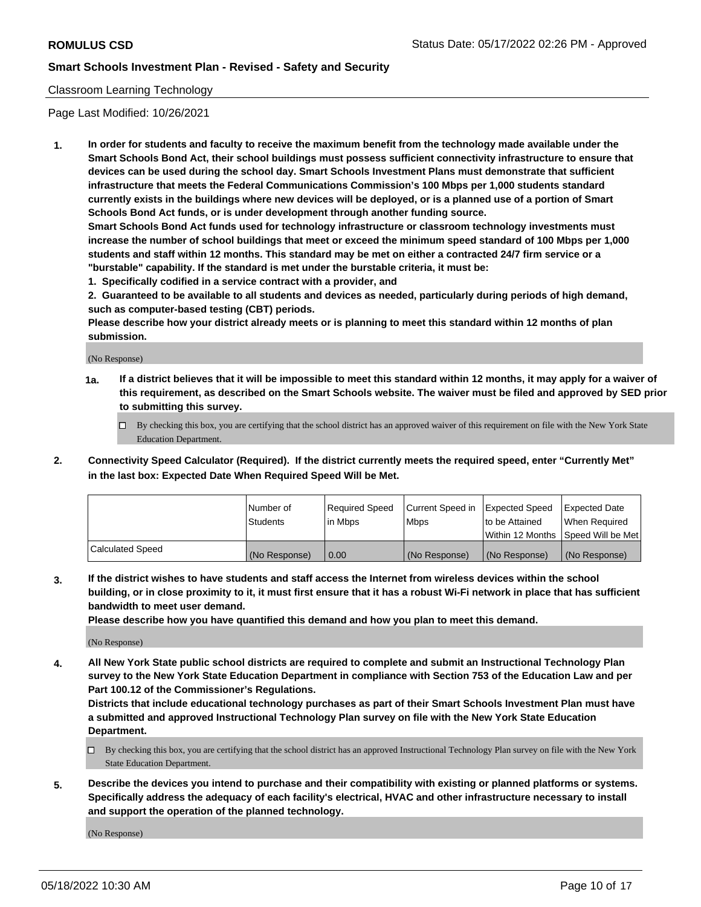### Classroom Learning Technology

Page Last Modified: 10/26/2021

**1. In order for students and faculty to receive the maximum benefit from the technology made available under the Smart Schools Bond Act, their school buildings must possess sufficient connectivity infrastructure to ensure that devices can be used during the school day. Smart Schools Investment Plans must demonstrate that sufficient infrastructure that meets the Federal Communications Commission's 100 Mbps per 1,000 students standard currently exists in the buildings where new devices will be deployed, or is a planned use of a portion of Smart Schools Bond Act funds, or is under development through another funding source.**

**Smart Schools Bond Act funds used for technology infrastructure or classroom technology investments must increase the number of school buildings that meet or exceed the minimum speed standard of 100 Mbps per 1,000 students and staff within 12 months. This standard may be met on either a contracted 24/7 firm service or a "burstable" capability. If the standard is met under the burstable criteria, it must be:**

**1. Specifically codified in a service contract with a provider, and**

**2. Guaranteed to be available to all students and devices as needed, particularly during periods of high demand, such as computer-based testing (CBT) periods.**

**Please describe how your district already meets or is planning to meet this standard within 12 months of plan submission.**

(No Response)

- **1a. If a district believes that it will be impossible to meet this standard within 12 months, it may apply for a waiver of this requirement, as described on the Smart Schools website. The waiver must be filed and approved by SED prior to submitting this survey.**
	- By checking this box, you are certifying that the school district has an approved waiver of this requirement on file with the New York State Education Department.
- **2. Connectivity Speed Calculator (Required). If the district currently meets the required speed, enter "Currently Met" in the last box: Expected Date When Required Speed Will be Met.**

|                  | Number of     | Required Speed | Current Speed in | Expected Speed | Expected Date                           |
|------------------|---------------|----------------|------------------|----------------|-----------------------------------------|
|                  | Students      | lin Mbps       | <b>Mbps</b>      | to be Attained | When Required                           |
|                  |               |                |                  |                | l Within 12 Months ISpeed Will be Met l |
| Calculated Speed | (No Response) | 0.00           | (No Response)    | (No Response)  | (No Response)                           |

**3. If the district wishes to have students and staff access the Internet from wireless devices within the school building, or in close proximity to it, it must first ensure that it has a robust Wi-Fi network in place that has sufficient bandwidth to meet user demand.**

**Please describe how you have quantified this demand and how you plan to meet this demand.**

(No Response)

**4. All New York State public school districts are required to complete and submit an Instructional Technology Plan survey to the New York State Education Department in compliance with Section 753 of the Education Law and per Part 100.12 of the Commissioner's Regulations.**

**Districts that include educational technology purchases as part of their Smart Schools Investment Plan must have a submitted and approved Instructional Technology Plan survey on file with the New York State Education Department.**

- By checking this box, you are certifying that the school district has an approved Instructional Technology Plan survey on file with the New York State Education Department.
- **5. Describe the devices you intend to purchase and their compatibility with existing or planned platforms or systems. Specifically address the adequacy of each facility's electrical, HVAC and other infrastructure necessary to install and support the operation of the planned technology.**

(No Response)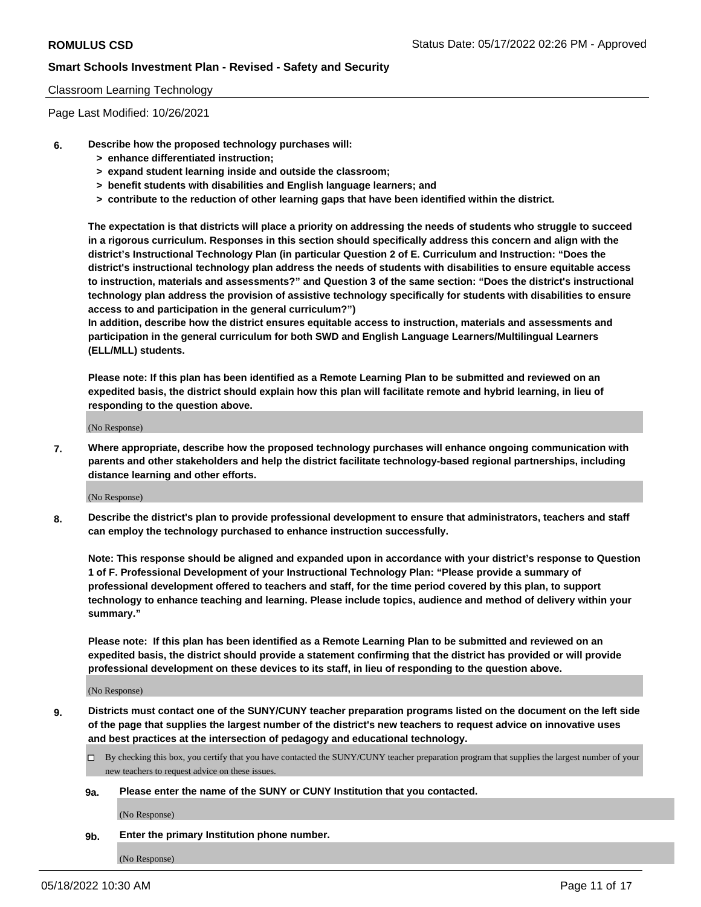#### Classroom Learning Technology

Page Last Modified: 10/26/2021

- **6. Describe how the proposed technology purchases will:**
	- **> enhance differentiated instruction;**
	- **> expand student learning inside and outside the classroom;**
	- **> benefit students with disabilities and English language learners; and**
	- **> contribute to the reduction of other learning gaps that have been identified within the district.**

**The expectation is that districts will place a priority on addressing the needs of students who struggle to succeed in a rigorous curriculum. Responses in this section should specifically address this concern and align with the district's Instructional Technology Plan (in particular Question 2 of E. Curriculum and Instruction: "Does the district's instructional technology plan address the needs of students with disabilities to ensure equitable access to instruction, materials and assessments?" and Question 3 of the same section: "Does the district's instructional technology plan address the provision of assistive technology specifically for students with disabilities to ensure access to and participation in the general curriculum?")**

**In addition, describe how the district ensures equitable access to instruction, materials and assessments and participation in the general curriculum for both SWD and English Language Learners/Multilingual Learners (ELL/MLL) students.**

**Please note: If this plan has been identified as a Remote Learning Plan to be submitted and reviewed on an expedited basis, the district should explain how this plan will facilitate remote and hybrid learning, in lieu of responding to the question above.**

(No Response)

**7. Where appropriate, describe how the proposed technology purchases will enhance ongoing communication with parents and other stakeholders and help the district facilitate technology-based regional partnerships, including distance learning and other efforts.**

(No Response)

**8. Describe the district's plan to provide professional development to ensure that administrators, teachers and staff can employ the technology purchased to enhance instruction successfully.**

**Note: This response should be aligned and expanded upon in accordance with your district's response to Question 1 of F. Professional Development of your Instructional Technology Plan: "Please provide a summary of professional development offered to teachers and staff, for the time period covered by this plan, to support technology to enhance teaching and learning. Please include topics, audience and method of delivery within your summary."**

**Please note: If this plan has been identified as a Remote Learning Plan to be submitted and reviewed on an expedited basis, the district should provide a statement confirming that the district has provided or will provide professional development on these devices to its staff, in lieu of responding to the question above.**

(No Response)

**9. Districts must contact one of the SUNY/CUNY teacher preparation programs listed on the document on the left side of the page that supplies the largest number of the district's new teachers to request advice on innovative uses and best practices at the intersection of pedagogy and educational technology.**

- By checking this box, you certify that you have contacted the SUNY/CUNY teacher preparation program that supplies the largest number of your new teachers to request advice on these issues.
- **9a. Please enter the name of the SUNY or CUNY Institution that you contacted.**

(No Response)

**9b. Enter the primary Institution phone number.**

(No Response)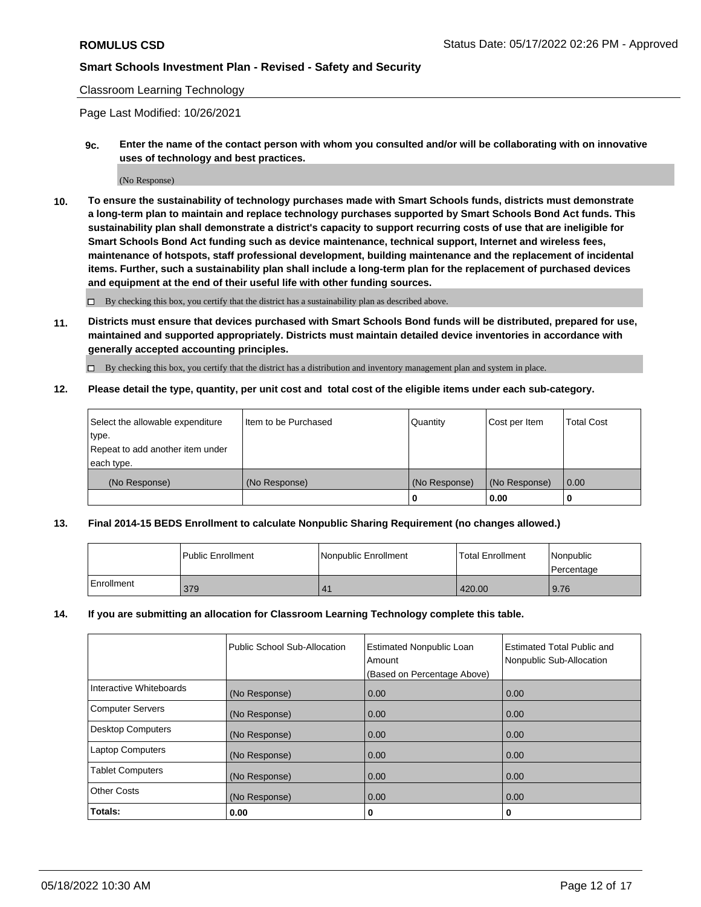#### Classroom Learning Technology

Page Last Modified: 10/26/2021

**9c. Enter the name of the contact person with whom you consulted and/or will be collaborating with on innovative uses of technology and best practices.**

(No Response)

**10. To ensure the sustainability of technology purchases made with Smart Schools funds, districts must demonstrate a long-term plan to maintain and replace technology purchases supported by Smart Schools Bond Act funds. This sustainability plan shall demonstrate a district's capacity to support recurring costs of use that are ineligible for Smart Schools Bond Act funding such as device maintenance, technical support, Internet and wireless fees, maintenance of hotspots, staff professional development, building maintenance and the replacement of incidental items. Further, such a sustainability plan shall include a long-term plan for the replacement of purchased devices and equipment at the end of their useful life with other funding sources.**

 $\square$  By checking this box, you certify that the district has a sustainability plan as described above.

**11. Districts must ensure that devices purchased with Smart Schools Bond funds will be distributed, prepared for use, maintained and supported appropriately. Districts must maintain detailed device inventories in accordance with generally accepted accounting principles.**

By checking this box, you certify that the district has a distribution and inventory management plan and system in place.

**12. Please detail the type, quantity, per unit cost and total cost of the eligible items under each sub-category.**

| Select the allowable expenditure | I Item to be Purchased | Quantity      | Cost per Item | Total Cost |
|----------------------------------|------------------------|---------------|---------------|------------|
| type.                            |                        |               |               |            |
| Repeat to add another item under |                        |               |               |            |
| each type.                       |                        |               |               |            |
| (No Response)                    | (No Response)          | (No Response) | (No Response) | 0.00       |
|                                  |                        | u             | 0.00          |            |

#### **13. Final 2014-15 BEDS Enrollment to calculate Nonpublic Sharing Requirement (no changes allowed.)**

|            | l Public Enrollment | Nonpublic Enrollment  | <b>Total Enrollment</b> | Nonpublic<br>l Percentage |
|------------|---------------------|-----------------------|-------------------------|---------------------------|
| Enrollment | 379                 | $\mathbf{4}^{\prime}$ | 420.00                  | 9.76                      |

#### **14. If you are submitting an allocation for Classroom Learning Technology complete this table.**

|                          | Public School Sub-Allocation | <b>Estimated Nonpublic Loan</b><br>Amount | <b>Estimated Total Public and</b><br>Nonpublic Sub-Allocation |
|--------------------------|------------------------------|-------------------------------------------|---------------------------------------------------------------|
|                          |                              | (Based on Percentage Above)               |                                                               |
| Interactive Whiteboards  | (No Response)                | 0.00                                      | 0.00                                                          |
| <b>Computer Servers</b>  | (No Response)                | 0.00                                      | 0.00                                                          |
| <b>Desktop Computers</b> | (No Response)                | 0.00                                      | 0.00                                                          |
| <b>Laptop Computers</b>  | (No Response)                | 0.00                                      | 0.00                                                          |
| <b>Tablet Computers</b>  | (No Response)                | 0.00                                      | 0.00                                                          |
| <b>Other Costs</b>       | (No Response)                | 0.00                                      | 0.00                                                          |
| Totals:                  | 0.00                         | 0                                         | 0                                                             |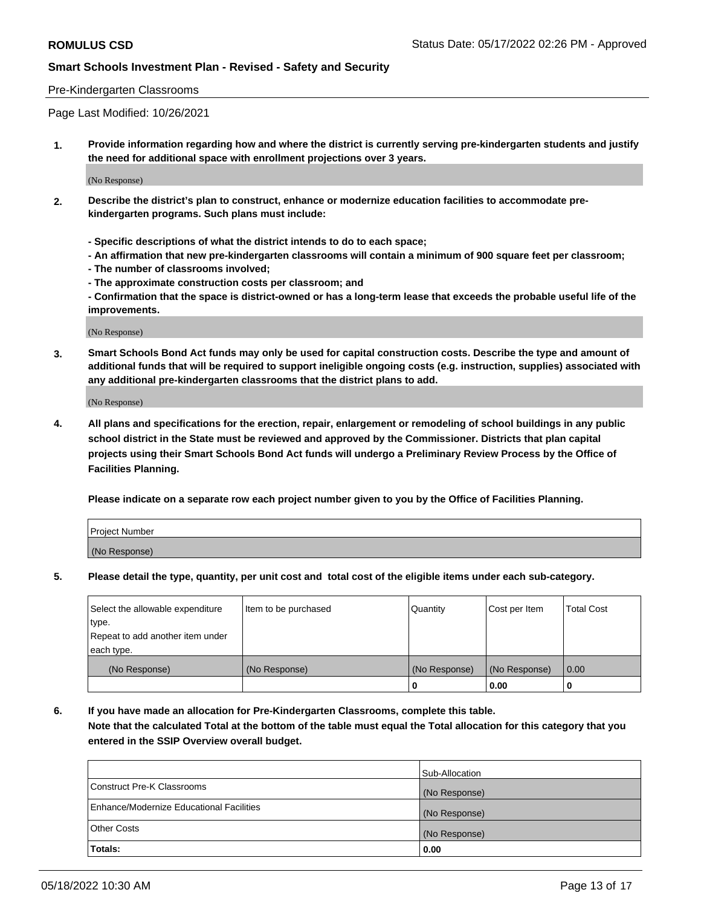#### Pre-Kindergarten Classrooms

Page Last Modified: 10/26/2021

**1. Provide information regarding how and where the district is currently serving pre-kindergarten students and justify the need for additional space with enrollment projections over 3 years.**

(No Response)

- **2. Describe the district's plan to construct, enhance or modernize education facilities to accommodate prekindergarten programs. Such plans must include:**
	- **Specific descriptions of what the district intends to do to each space;**
	- **An affirmation that new pre-kindergarten classrooms will contain a minimum of 900 square feet per classroom;**
	- **The number of classrooms involved;**
	- **The approximate construction costs per classroom; and**
	- **Confirmation that the space is district-owned or has a long-term lease that exceeds the probable useful life of the improvements.**

(No Response)

**3. Smart Schools Bond Act funds may only be used for capital construction costs. Describe the type and amount of additional funds that will be required to support ineligible ongoing costs (e.g. instruction, supplies) associated with any additional pre-kindergarten classrooms that the district plans to add.**

(No Response)

**4. All plans and specifications for the erection, repair, enlargement or remodeling of school buildings in any public school district in the State must be reviewed and approved by the Commissioner. Districts that plan capital projects using their Smart Schools Bond Act funds will undergo a Preliminary Review Process by the Office of Facilities Planning.**

**Please indicate on a separate row each project number given to you by the Office of Facilities Planning.**

| Project Number |  |
|----------------|--|
| (No Response)  |  |

**5. Please detail the type, quantity, per unit cost and total cost of the eligible items under each sub-category.**

| Select the allowable expenditure | Item to be purchased | Quantity      | Cost per Item | <b>Total Cost</b> |
|----------------------------------|----------------------|---------------|---------------|-------------------|
| type.                            |                      |               |               |                   |
| Repeat to add another item under |                      |               |               |                   |
| each type.                       |                      |               |               |                   |
| (No Response)                    | (No Response)        | (No Response) | (No Response) | 0.00              |
|                                  |                      | 0             | 0.00          |                   |

**6. If you have made an allocation for Pre-Kindergarten Classrooms, complete this table.**

**Note that the calculated Total at the bottom of the table must equal the Total allocation for this category that you entered in the SSIP Overview overall budget.**

|                                          | Sub-Allocation |
|------------------------------------------|----------------|
| Construct Pre-K Classrooms               | (No Response)  |
| Enhance/Modernize Educational Facilities | (No Response)  |
| <b>Other Costs</b>                       | (No Response)  |
| Totals:                                  | 0.00           |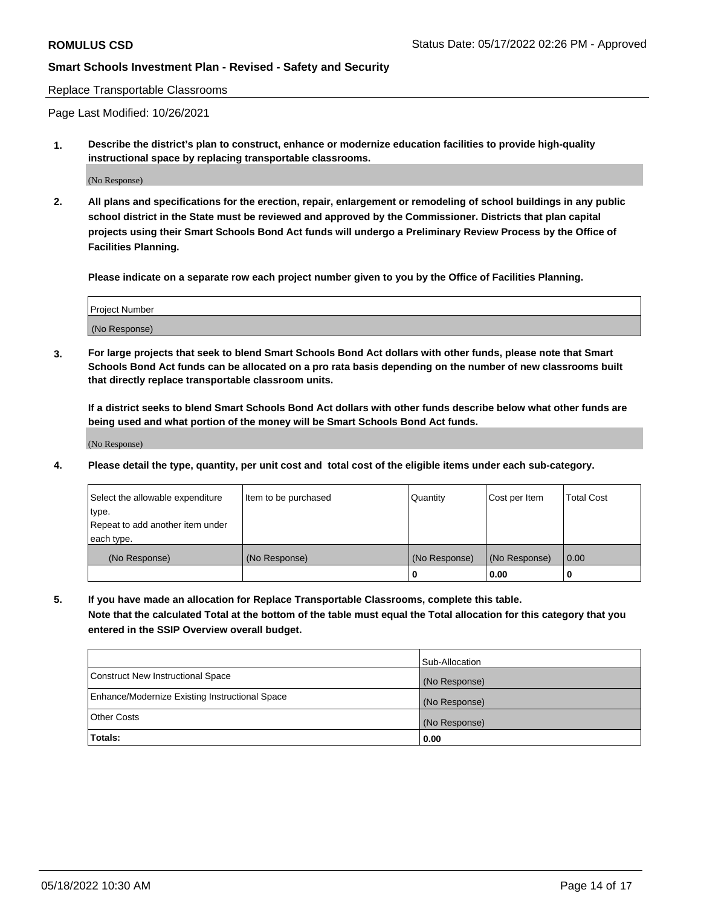Replace Transportable Classrooms

Page Last Modified: 10/26/2021

**1. Describe the district's plan to construct, enhance or modernize education facilities to provide high-quality instructional space by replacing transportable classrooms.**

(No Response)

**2. All plans and specifications for the erection, repair, enlargement or remodeling of school buildings in any public school district in the State must be reviewed and approved by the Commissioner. Districts that plan capital projects using their Smart Schools Bond Act funds will undergo a Preliminary Review Process by the Office of Facilities Planning.**

**Please indicate on a separate row each project number given to you by the Office of Facilities Planning.**

| <b>Project Number</b> |  |
|-----------------------|--|
| (No Response)         |  |

**3. For large projects that seek to blend Smart Schools Bond Act dollars with other funds, please note that Smart Schools Bond Act funds can be allocated on a pro rata basis depending on the number of new classrooms built that directly replace transportable classroom units.**

**If a district seeks to blend Smart Schools Bond Act dollars with other funds describe below what other funds are being used and what portion of the money will be Smart Schools Bond Act funds.**

(No Response)

**4. Please detail the type, quantity, per unit cost and total cost of the eligible items under each sub-category.**

| Select the allowable expenditure | Item to be purchased | Quantity      | Cost per Item | <b>Total Cost</b> |
|----------------------------------|----------------------|---------------|---------------|-------------------|
| type.                            |                      |               |               |                   |
| Repeat to add another item under |                      |               |               |                   |
| each type.                       |                      |               |               |                   |
| (No Response)                    | (No Response)        | (No Response) | (No Response) | 0.00              |
|                                  |                      | U             | 0.00          |                   |

**5. If you have made an allocation for Replace Transportable Classrooms, complete this table.**

**Note that the calculated Total at the bottom of the table must equal the Total allocation for this category that you entered in the SSIP Overview overall budget.**

|                                                | Sub-Allocation |
|------------------------------------------------|----------------|
| Construct New Instructional Space              | (No Response)  |
| Enhance/Modernize Existing Instructional Space | (No Response)  |
| <b>Other Costs</b>                             | (No Response)  |
| Totals:                                        | 0.00           |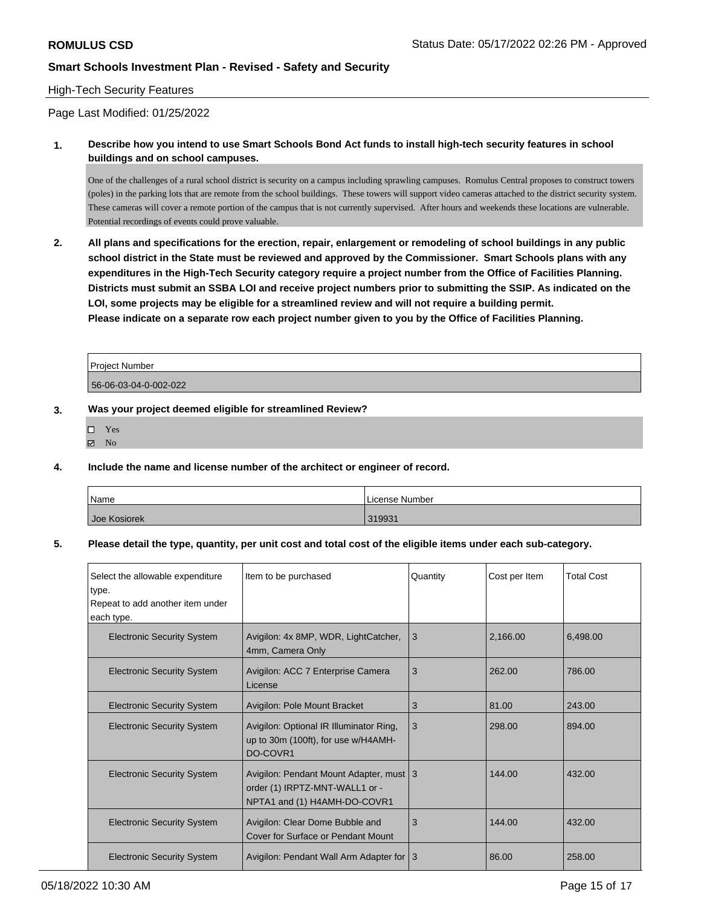### High-Tech Security Features

Page Last Modified: 01/25/2022

**1. Describe how you intend to use Smart Schools Bond Act funds to install high-tech security features in school buildings and on school campuses.**

One of the challenges of a rural school district is security on a campus including sprawling campuses. Romulus Central proposes to construct towers (poles) in the parking lots that are remote from the school buildings. These towers will support video cameras attached to the district security system. These cameras will cover a remote portion of the campus that is not currently supervised. After hours and weekends these locations are vulnerable. Potential recordings of events could prove valuable.

**2. All plans and specifications for the erection, repair, enlargement or remodeling of school buildings in any public school district in the State must be reviewed and approved by the Commissioner. Smart Schools plans with any expenditures in the High-Tech Security category require a project number from the Office of Facilities Planning. Districts must submit an SSBA LOI and receive project numbers prior to submitting the SSIP. As indicated on the LOI, some projects may be eligible for a streamlined review and will not require a building permit. Please indicate on a separate row each project number given to you by the Office of Facilities Planning.**

| <b>Project Number</b> |  |
|-----------------------|--|
| 56-06-03-04-0-002-022 |  |

#### **3. Was your project deemed eligible for streamlined Review?**

- Yes  $\boxtimes$  No
- **4. Include the name and license number of the architect or engineer of record.**

| Name         | License Number |
|--------------|----------------|
| Joe Kosiorek | 319931         |

#### **5. Please detail the type, quantity, per unit cost and total cost of the eligible items under each sub-category.**

| Select the allowable expenditure<br>type.<br>Repeat to add another item under<br>each type. | Item to be purchased                                                                                      | Quantity | Cost per Item | <b>Total Cost</b> |
|---------------------------------------------------------------------------------------------|-----------------------------------------------------------------------------------------------------------|----------|---------------|-------------------|
| <b>Electronic Security System</b>                                                           | Avigilon: 4x 8MP, WDR, LightCatcher,<br>4mm, Camera Only                                                  | 3        | 2,166.00      | 6,498.00          |
| <b>Electronic Security System</b>                                                           | Avigilon: ACC 7 Enterprise Camera<br>License                                                              | 3        | 262.00        | 786.00            |
| <b>Electronic Security System</b>                                                           | Avigilon: Pole Mount Bracket                                                                              | 3        | 81.00         | 243.00            |
| <b>Electronic Security System</b>                                                           | Avigilon: Optional IR Illuminator Ring,<br>up to 30m (100ft), for use w/H4AMH-<br>DO-COVR1                | 3        | 298.00        | 894.00            |
| <b>Electronic Security System</b>                                                           | Avigilon: Pendant Mount Adapter, must 3<br>order (1) IRPTZ-MNT-WALL1 or -<br>NPTA1 and (1) H4AMH-DO-COVR1 |          | 144.00        | 432.00            |
| <b>Electronic Security System</b>                                                           | Avigilon: Clear Dome Bubble and<br>Cover for Surface or Pendant Mount                                     | 3        | 144.00        | 432.00            |
| <b>Electronic Security System</b>                                                           | Avigilon: Pendant Wall Arm Adapter for   3                                                                |          | 86.00         | 258.00            |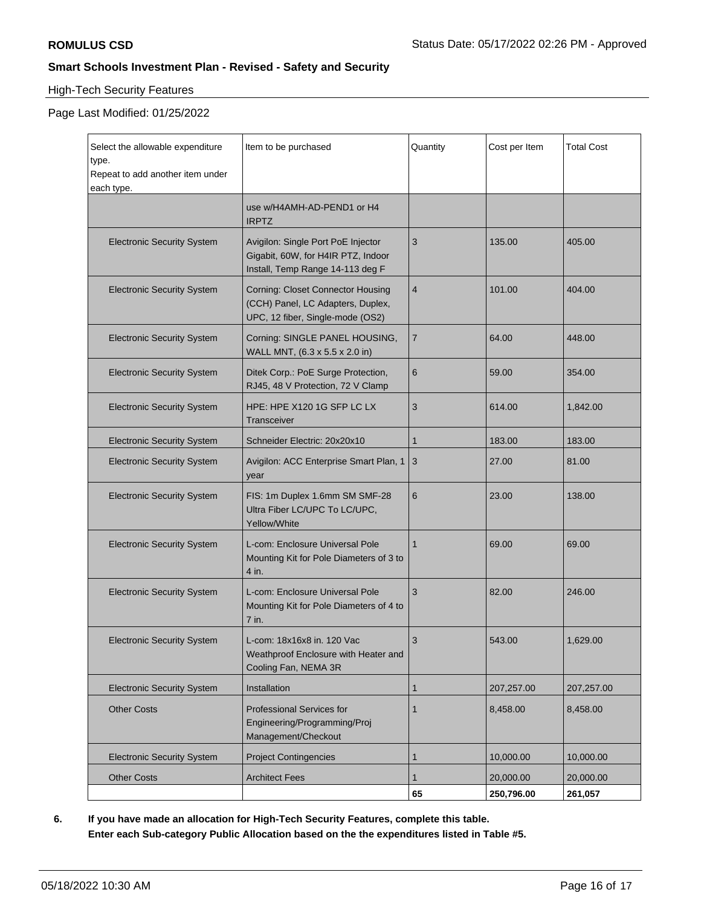### High-Tech Security Features

### Page Last Modified: 01/25/2022

| Select the allowable expenditure<br>type.<br>Repeat to add another item under<br>each type. | Item to be purchased                                                                                              | Quantity       | Cost per Item           | <b>Total Cost</b>    |
|---------------------------------------------------------------------------------------------|-------------------------------------------------------------------------------------------------------------------|----------------|-------------------------|----------------------|
|                                                                                             | use w/H4AMH-AD-PEND1 or H4<br><b>IRPTZ</b>                                                                        |                |                         |                      |
| <b>Electronic Security System</b>                                                           | Avigilon: Single Port PoE Injector<br>Gigabit, 60W, for H4IR PTZ, Indoor<br>Install, Temp Range 14-113 deg F      | 3              | 135.00                  | 405.00               |
| <b>Electronic Security System</b>                                                           | <b>Corning: Closet Connector Housing</b><br>(CCH) Panel, LC Adapters, Duplex,<br>UPC, 12 fiber, Single-mode (OS2) | $\overline{4}$ | 101.00                  | 404.00               |
| <b>Electronic Security System</b>                                                           | Corning: SINGLE PANEL HOUSING,<br>WALL MNT, (6.3 x 5.5 x 2.0 in)                                                  | 7              | 64.00                   | 448.00               |
| <b>Electronic Security System</b>                                                           | Ditek Corp.: PoE Surge Protection,<br>RJ45, 48 V Protection, 72 V Clamp                                           | 6              | 59.00                   | 354.00               |
| <b>Electronic Security System</b>                                                           | HPE: HPE X120 1G SFP LC LX<br>Transceiver                                                                         | 3              | 614.00                  | 1,842.00             |
| <b>Electronic Security System</b>                                                           | Schneider Electric: 20x20x10                                                                                      | 1              | 183.00                  | 183.00               |
| <b>Electronic Security System</b>                                                           | Avigilon: ACC Enterprise Smart Plan, 1<br>year                                                                    | 3              | 27.00                   | 81.00                |
| <b>Electronic Security System</b>                                                           | FIS: 1m Duplex 1.6mm SM SMF-28<br>Ultra Fiber LC/UPC To LC/UPC,<br>Yellow/White                                   | 6              | 23.00                   | 138.00               |
| <b>Electronic Security System</b>                                                           | L-com: Enclosure Universal Pole<br>Mounting Kit for Pole Diameters of 3 to<br>4 in.                               | $\mathbf{1}$   | 69.00                   | 69.00                |
| <b>Electronic Security System</b>                                                           | L-com: Enclosure Universal Pole<br>Mounting Kit for Pole Diameters of 4 to<br>7 in.                               | 3              | 82.00                   | 246.00               |
| <b>Electronic Security System</b>                                                           | L-com: 18x16x8 in. 120 Vac<br>Weathproof Enclosure with Heater and<br>Cooling Fan, NEMA 3R                        | 3              | 543.00                  | 1,629.00             |
| <b>Electronic Security System</b>                                                           | Installation                                                                                                      | 1              | 207,257.00              | 207,257.00           |
| <b>Other Costs</b>                                                                          | <b>Professional Services for</b><br>Engineering/Programming/Proj<br>Management/Checkout                           | 1              | 8,458.00                | 8,458.00             |
| <b>Electronic Security System</b>                                                           | <b>Project Contingencies</b>                                                                                      | 1              | 10,000.00               | 10,000.00            |
| <b>Other Costs</b>                                                                          | <b>Architect Fees</b>                                                                                             | 1<br>65        | 20,000.00<br>250,796.00 | 20,000.00<br>261,057 |

**6. If you have made an allocation for High-Tech Security Features, complete this table. Enter each Sub-category Public Allocation based on the the expenditures listed in Table #5.**